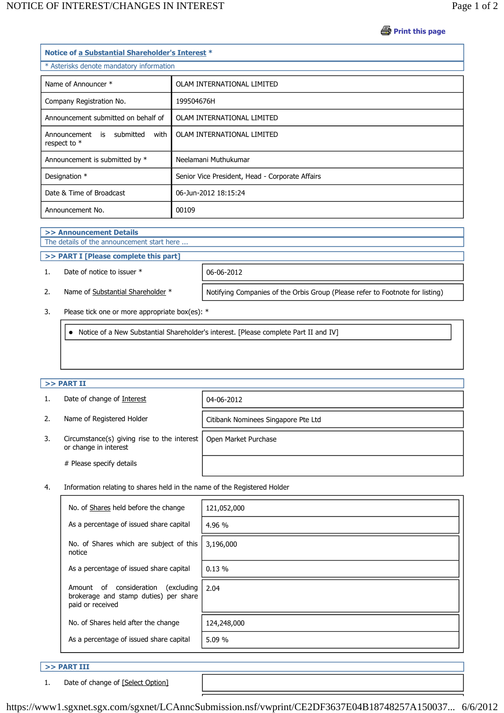**Print this page** 

| Notice of a Substantial Shareholder's Interest *  |                                                 |  |  |
|---------------------------------------------------|-------------------------------------------------|--|--|
| * Asterisks denote mandatory information          |                                                 |  |  |
| Name of Announcer *                               | OLAM INTERNATIONAL LIMITED                      |  |  |
| Company Registration No.                          | 199504676H                                      |  |  |
| Announcement submitted on behalf of               | OLAM INTERNATIONAL LIMITED                      |  |  |
| Announcement is submitted<br>with<br>respect to * | OLAM INTERNATIONAL LIMITED                      |  |  |
| Announcement is submitted by *                    | Neelamani Muthukumar                            |  |  |
| Designation *                                     | Senior Vice President, Head - Corporate Affairs |  |  |
| Date & Time of Broadcast                          | 06-Jun-2012 18:15:24                            |  |  |
| Announcement No.                                  | 00109                                           |  |  |

# **>> Announcement Details**

# The details of the announcement start here ...

# **>> PART I [Please complete this part]**

# 1. Date of notice to issuer \* 06-06-2012

2. Name of Substantial Shareholder \* | Notifying Companies of the Orbis Group (Please refer to Footnote for listing)

# 3. Please tick one or more appropriate box(es): \*

• Notice of a New Substantial Shareholder's interest. [Please complete Part II and IV]

### **>> PART II**

|    | Date of change of Interest                                               | 04-06-2012                          |
|----|--------------------------------------------------------------------------|-------------------------------------|
| 2. | Name of Registered Holder                                                | Citibank Nominees Singapore Pte Ltd |
| 3. | Circumstance(s) giving rise to the interest $ $<br>or change in interest | Open Market Purchase                |
|    | # Please specify details                                                 |                                     |

### 4. Information relating to shares held in the name of the Registered Holder

| No. of Shares held before the change                                                                     | 121,052,000 |
|----------------------------------------------------------------------------------------------------------|-------------|
| As a percentage of issued share capital                                                                  | 4.96 %      |
| No. of Shares which are subject of this<br>notice                                                        | 3,196,000   |
| As a percentage of issued share capital                                                                  | 0.13%       |
| consideration<br>(excluding<br>of<br>Amount<br>brokerage and stamp duties) per share<br>paid or received | 2.04        |
| No. of Shares held after the change                                                                      | 124,248,000 |
| As a percentage of issued share capital                                                                  | 5.09 %      |
|                                                                                                          |             |

## **>> PART III**

1. Date of change of [Select Option]